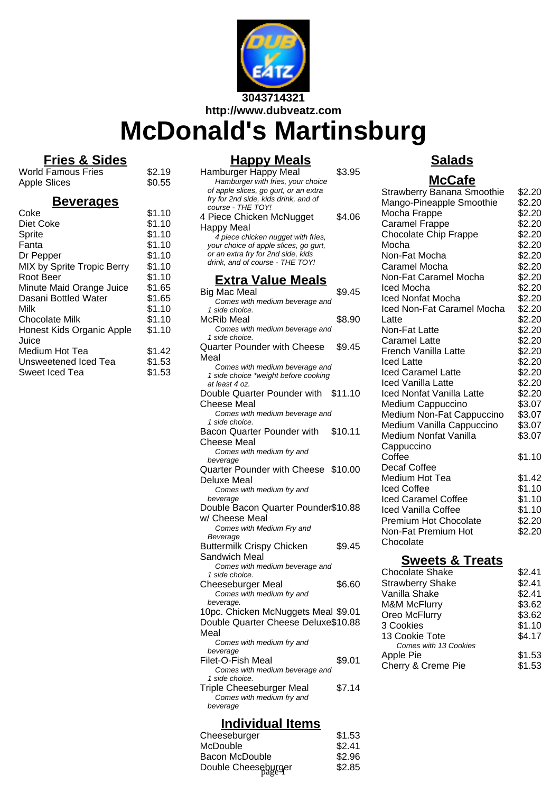

**http://www.dubveatz.com**

# **McDonald's Martinsburg**

# **Fries & Sides**

 $$2.19$  $$0.55$ 

| <b>World Famous Fries</b> |  |
|---------------------------|--|
| <b>Apple Slices</b>       |  |

## **Beverages**

| Coke                       | \$1.10 |
|----------------------------|--------|
| Diet Coke                  | \$1.10 |
| Sprite                     | \$1.10 |
| Fanta                      | \$1.10 |
| Dr Pepper                  | \$1.10 |
| MIX by Sprite Tropic Berry | \$1.10 |
| Root Beer                  | \$1.10 |
| Minute Maid Orange Juice   | \$1.65 |
| Dasani Bottled Water       | \$1.65 |
| Milk                       | \$1.10 |
| <b>Chocolate Milk</b>      | \$1.10 |
| Honest Kids Organic Apple  | \$1.10 |
| Juice                      |        |
| Medium Hot Tea             | \$1.42 |
| Unsweetened Iced Tea       | \$1.53 |
| Sweet Iced Tea             | \$1.53 |
|                            |        |

## **Happy Meals**

#### Hamburger Happy Meal \$3.95 Hamburger with fries, your choice of apple slices, go gurt, or an extra fry for 2nd side, kids drink, and of course - THE TOY! 4 Piece Chicken McNugget Happy Meal \$4.06 4 piece chicken nugget with fries, your choice of apple slices, go gurt, or an extra fry for 2nd side, kids drink, and of course - THE TOY! **Extra Value Meals** Big Mac Meal  $$9.45$ Comes with medium beverage and 1 side choice. McRib Meal  $$8.90$ Comes with medium beverage and 1 side choice. Quarter Pounder with Cheese Meal \$9.45 Comes with medium beverage and 1 side choice \*weight before cooking at least 4 oz. Double Quarter Pounder with \$11.10 Cheese Meal Comes with medium beverage and 1 side choice. Bacon Quarter Pounder with Cheese Meal \$10.11 Comes with medium fry and beverage Quarter Pounder with Cheese \$10.00 Deluxe Meal Comes with medium fry and beverage Double Bacon Quarter Pounder \$10.88 w/ Cheese Meal Comes with Medium Fry and Beverage Buttermilk Crispy Chicken Sandwich Meal \$9.45 Comes with medium beverage and 1 side choice. Cheeseburger Meal \$6.60 Comes with medium fry and beverage. 10pc. Chicken McNuggets Meal \$9.01 Double Quarter Cheese Deluxe \$10.88 Meal Comes with medium fry and beverage Filet-O-Fish Meal \$9.01 Comes with medium beverage and 1 side choice. Triple Cheeseburger Meal \$7.14 Comes with medium fry and beverage

# **Individual Items**

| Cheeseburger        | \$1.53 |
|---------------------|--------|
| McDouble            | \$2.41 |
| Bacon McDouble      | \$2.96 |
| Double Cheeseburger | \$2.85 |
|                     |        |

## **Salads**

## **McCafe**

| <b>Strawberry Banana Smoothie</b><br>Mango-Pineapple Smoothie | \$2.20<br>\$2.20 |
|---------------------------------------------------------------|------------------|
| Mocha Frappe                                                  | \$2.20           |
| <b>Caramel Frappe</b>                                         | \$2.20           |
| <b>Chocolate Chip Frappe</b>                                  | \$2.20           |
| Mocha                                                         | \$2.20           |
| Non-Fat Mocha                                                 | \$2.20           |
| Caramel Mocha                                                 | \$2.20           |
| Non-Fat Caramel Mocha                                         | \$2.20           |
| Iced Mocha                                                    | \$2.20           |
| <b>Iced Nonfat Mocha</b>                                      | \$2.20           |
| Iced Non-Fat Caramel Mocha                                    | \$2.20           |
| Latte                                                         | \$2.20           |
| Non-Fat Latte                                                 | \$2.20           |
| Caramel Latte                                                 | \$2.20           |
| French Vanilla Latte                                          | \$2.20           |
| Iced Latte                                                    | \$2.20           |
| <b>Iced Caramel Latte</b>                                     | \$2.20           |
| <b>Iced Vanilla Latte</b>                                     | \$2.20           |
| Iced Nonfat Vanilla Latte                                     | \$2.20           |
| Medium Cappuccino                                             | \$3.07           |
| Medium Non-Fat Cappuccino                                     | \$3.07           |
| Medium Vanilla Cappuccino                                     | \$3.07           |
| Medium Nonfat Vanilla<br>Cappuccino                           | \$3.07           |
| Coffee<br>Decaf Coffee                                        | \$1.10           |
| Medium Hot Tea                                                | \$1.42           |
| Iced Coffee                                                   | \$1.10           |
| Iced Caramel Coffee                                           | \$1.10           |
| Iced Vanilla Coffee                                           | \$1.10           |
| <b>Premium Hot Chocolate</b>                                  | \$2.20           |
| Non-Fat Premium Hot                                           | \$2.20           |
| Chocolate                                                     |                  |
|                                                               |                  |

## **Sweets & Treats**

| Chocolate Shake         | \$2.41 |
|-------------------------|--------|
| <b>Strawberry Shake</b> | \$2.41 |
| Vanilla Shake           | \$2.41 |
| <b>M&amp;M McFlurry</b> | \$3.62 |
| Oreo McFlurry           | \$3.62 |
| 3 Cookies               | \$1.10 |
| 13 Cookie Tote          | \$4.17 |
| Comes with 13 Cookies   |        |
| Apple Pie               | \$1.53 |
| Cherry & Creme Pie      | \$1.53 |
|                         |        |